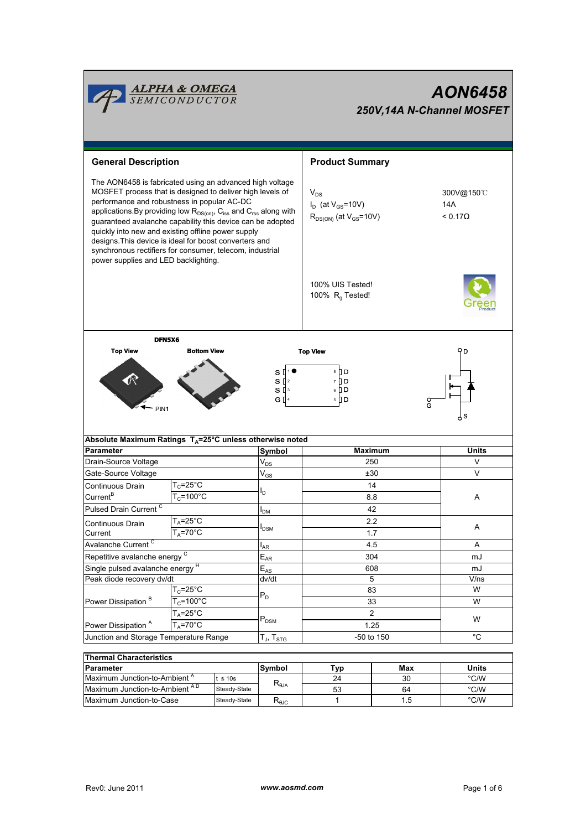

# AON6458 250V,14A N-Channel MOSFET

| <b>Product Summary</b><br><b>General Description</b><br>The AON6458 is fabricated using an advanced high voltage<br>MOSFET process that is designed to deliver high levels of<br>$V_{DS}$<br>300V@150℃<br>performance and robustness in popular AC-DC<br>$I_D$ (at $V_{GS}$ =10V)<br>14A<br>applications. By providing low $R_{DS(0n)}$ , C <sub>iss</sub> and C <sub>rss</sub> along with<br>$R_{DS(ON)}$ (at $V_{GS}$ =10V)<br>$< 0.17\Omega$<br>guaranteed avalanche capability this device can be adopted<br>quickly into new and existing offline power supply<br>designs. This device is ideal for boost converters and<br>synchronous rectifiers for consumer, telecom, industrial<br>power supplies and LED backlighting.<br>100% UIS Tested!<br>100% $R_q$ Tested!<br>DFN5X6<br><b>Top View</b><br><b>Bottom View</b><br>۹D<br><b>Top View</b><br>s [⊡<br>8 ∐ D<br>R<br>$S^{2}$<br>7 ] D<br>$S^{13}$<br>6 ] D<br>G [] 4<br>5 D D<br>o<br>G<br>PIN <sub>1</sub><br>s<br>Absolute Maximum Ratings T <sub>A</sub> =25°C unless otherwise noted<br>Symbol<br><b>Maximum</b><br><b>Units</b><br>$\mathsf{V}_{\mathsf{DS}}$<br>V<br>250<br>$\vee$<br>$\mathsf{V}_{\mathsf{GS}}$<br>±30<br>$T_c = 25^\circ \text{C}$<br>14<br>ı,<br>$T_c = 100^{\circ}$ C<br>8.8<br>Α<br>42<br>$I_{DM}$<br>$T_A = 25^\circ \text{C}$<br>2.2<br>Α<br><b>I</b> <sub>DSM</sub><br>$T_A = 70^{\circ}$ C<br>1.7<br>4.5<br>Α<br>l <sub>AR</sub><br>Repetitive avalanche energy C<br>$E_{AR}$<br>304<br>mJ<br>Single pulsed avalanche energy <sup>H</sup><br>$E_{AS}$<br>608<br>mJ<br>Peak diode recovery dv/dt<br>dv/dt<br>5<br>V/ns<br>$T_c = 25$ °C<br>W<br>83<br>$P_D$<br>$T_c = 100^{\circ}$ C<br>W<br>33<br>$T_A = 25$ °C<br>2<br>$P_{DSM}$<br>W<br>$T_A = 70^\circ C$<br>1.25<br>°C<br>Junction and Storage Temperature Range<br>-50 to 150<br>$T_{\text{J}}$ , $T_{\text{STG}}$<br><b>Thermal Characteristics</b><br>Units<br>Max |                                   |  |         |        |     |  |      |  |  |
|----------------------------------------------------------------------------------------------------------------------------------------------------------------------------------------------------------------------------------------------------------------------------------------------------------------------------------------------------------------------------------------------------------------------------------------------------------------------------------------------------------------------------------------------------------------------------------------------------------------------------------------------------------------------------------------------------------------------------------------------------------------------------------------------------------------------------------------------------------------------------------------------------------------------------------------------------------------------------------------------------------------------------------------------------------------------------------------------------------------------------------------------------------------------------------------------------------------------------------------------------------------------------------------------------------------------------------------------------------------------------------------------------------------------------------------------------------------------------------------------------------------------------------------------------------------------------------------------------------------------------------------------------------------------------------------------------------------------------------------------------------------------------------------------------------------------------------------------------------------------------------------------------------------------|-----------------------------------|--|---------|--------|-----|--|------|--|--|
|                                                                                                                                                                                                                                                                                                                                                                                                                                                                                                                                                                                                                                                                                                                                                                                                                                                                                                                                                                                                                                                                                                                                                                                                                                                                                                                                                                                                                                                                                                                                                                                                                                                                                                                                                                                                                                                                                                                      |                                   |  |         |        |     |  |      |  |  |
|                                                                                                                                                                                                                                                                                                                                                                                                                                                                                                                                                                                                                                                                                                                                                                                                                                                                                                                                                                                                                                                                                                                                                                                                                                                                                                                                                                                                                                                                                                                                                                                                                                                                                                                                                                                                                                                                                                                      |                                   |  |         |        |     |  |      |  |  |
|                                                                                                                                                                                                                                                                                                                                                                                                                                                                                                                                                                                                                                                                                                                                                                                                                                                                                                                                                                                                                                                                                                                                                                                                                                                                                                                                                                                                                                                                                                                                                                                                                                                                                                                                                                                                                                                                                                                      |                                   |  |         |        |     |  |      |  |  |
|                                                                                                                                                                                                                                                                                                                                                                                                                                                                                                                                                                                                                                                                                                                                                                                                                                                                                                                                                                                                                                                                                                                                                                                                                                                                                                                                                                                                                                                                                                                                                                                                                                                                                                                                                                                                                                                                                                                      |                                   |  |         |        |     |  |      |  |  |
|                                                                                                                                                                                                                                                                                                                                                                                                                                                                                                                                                                                                                                                                                                                                                                                                                                                                                                                                                                                                                                                                                                                                                                                                                                                                                                                                                                                                                                                                                                                                                                                                                                                                                                                                                                                                                                                                                                                      |                                   |  |         |        |     |  |      |  |  |
|                                                                                                                                                                                                                                                                                                                                                                                                                                                                                                                                                                                                                                                                                                                                                                                                                                                                                                                                                                                                                                                                                                                                                                                                                                                                                                                                                                                                                                                                                                                                                                                                                                                                                                                                                                                                                                                                                                                      |                                   |  |         |        |     |  |      |  |  |
|                                                                                                                                                                                                                                                                                                                                                                                                                                                                                                                                                                                                                                                                                                                                                                                                                                                                                                                                                                                                                                                                                                                                                                                                                                                                                                                                                                                                                                                                                                                                                                                                                                                                                                                                                                                                                                                                                                                      |                                   |  |         |        |     |  |      |  |  |
|                                                                                                                                                                                                                                                                                                                                                                                                                                                                                                                                                                                                                                                                                                                                                                                                                                                                                                                                                                                                                                                                                                                                                                                                                                                                                                                                                                                                                                                                                                                                                                                                                                                                                                                                                                                                                                                                                                                      |                                   |  |         |        |     |  |      |  |  |
|                                                                                                                                                                                                                                                                                                                                                                                                                                                                                                                                                                                                                                                                                                                                                                                                                                                                                                                                                                                                                                                                                                                                                                                                                                                                                                                                                                                                                                                                                                                                                                                                                                                                                                                                                                                                                                                                                                                      | Parameter                         |  |         |        |     |  |      |  |  |
|                                                                                                                                                                                                                                                                                                                                                                                                                                                                                                                                                                                                                                                                                                                                                                                                                                                                                                                                                                                                                                                                                                                                                                                                                                                                                                                                                                                                                                                                                                                                                                                                                                                                                                                                                                                                                                                                                                                      | Drain-Source Voltage              |  |         |        |     |  |      |  |  |
|                                                                                                                                                                                                                                                                                                                                                                                                                                                                                                                                                                                                                                                                                                                                                                                                                                                                                                                                                                                                                                                                                                                                                                                                                                                                                                                                                                                                                                                                                                                                                                                                                                                                                                                                                                                                                                                                                                                      | Gate-Source Voltage               |  |         |        |     |  |      |  |  |
|                                                                                                                                                                                                                                                                                                                                                                                                                                                                                                                                                                                                                                                                                                                                                                                                                                                                                                                                                                                                                                                                                                                                                                                                                                                                                                                                                                                                                                                                                                                                                                                                                                                                                                                                                                                                                                                                                                                      | Continuous Drain                  |  |         |        |     |  |      |  |  |
|                                                                                                                                                                                                                                                                                                                                                                                                                                                                                                                                                                                                                                                                                                                                                                                                                                                                                                                                                                                                                                                                                                                                                                                                                                                                                                                                                                                                                                                                                                                                                                                                                                                                                                                                                                                                                                                                                                                      | Current <sup>B</sup>              |  |         |        |     |  |      |  |  |
|                                                                                                                                                                                                                                                                                                                                                                                                                                                                                                                                                                                                                                                                                                                                                                                                                                                                                                                                                                                                                                                                                                                                                                                                                                                                                                                                                                                                                                                                                                                                                                                                                                                                                                                                                                                                                                                                                                                      | Pulsed Drain Current <sup>C</sup> |  |         |        |     |  |      |  |  |
|                                                                                                                                                                                                                                                                                                                                                                                                                                                                                                                                                                                                                                                                                                                                                                                                                                                                                                                                                                                                                                                                                                                                                                                                                                                                                                                                                                                                                                                                                                                                                                                                                                                                                                                                                                                                                                                                                                                      | Continuous Drain                  |  |         |        |     |  |      |  |  |
|                                                                                                                                                                                                                                                                                                                                                                                                                                                                                                                                                                                                                                                                                                                                                                                                                                                                                                                                                                                                                                                                                                                                                                                                                                                                                                                                                                                                                                                                                                                                                                                                                                                                                                                                                                                                                                                                                                                      | Current                           |  |         |        |     |  |      |  |  |
|                                                                                                                                                                                                                                                                                                                                                                                                                                                                                                                                                                                                                                                                                                                                                                                                                                                                                                                                                                                                                                                                                                                                                                                                                                                                                                                                                                                                                                                                                                                                                                                                                                                                                                                                                                                                                                                                                                                      | Avalanche Current <sup>C</sup>    |  |         |        |     |  |      |  |  |
|                                                                                                                                                                                                                                                                                                                                                                                                                                                                                                                                                                                                                                                                                                                                                                                                                                                                                                                                                                                                                                                                                                                                                                                                                                                                                                                                                                                                                                                                                                                                                                                                                                                                                                                                                                                                                                                                                                                      |                                   |  |         |        |     |  |      |  |  |
|                                                                                                                                                                                                                                                                                                                                                                                                                                                                                                                                                                                                                                                                                                                                                                                                                                                                                                                                                                                                                                                                                                                                                                                                                                                                                                                                                                                                                                                                                                                                                                                                                                                                                                                                                                                                                                                                                                                      |                                   |  |         |        |     |  |      |  |  |
|                                                                                                                                                                                                                                                                                                                                                                                                                                                                                                                                                                                                                                                                                                                                                                                                                                                                                                                                                                                                                                                                                                                                                                                                                                                                                                                                                                                                                                                                                                                                                                                                                                                                                                                                                                                                                                                                                                                      |                                   |  |         |        |     |  |      |  |  |
|                                                                                                                                                                                                                                                                                                                                                                                                                                                                                                                                                                                                                                                                                                                                                                                                                                                                                                                                                                                                                                                                                                                                                                                                                                                                                                                                                                                                                                                                                                                                                                                                                                                                                                                                                                                                                                                                                                                      |                                   |  |         |        |     |  |      |  |  |
|                                                                                                                                                                                                                                                                                                                                                                                                                                                                                                                                                                                                                                                                                                                                                                                                                                                                                                                                                                                                                                                                                                                                                                                                                                                                                                                                                                                                                                                                                                                                                                                                                                                                                                                                                                                                                                                                                                                      | Power Dissipation <sup>B</sup>    |  |         |        |     |  |      |  |  |
|                                                                                                                                                                                                                                                                                                                                                                                                                                                                                                                                                                                                                                                                                                                                                                                                                                                                                                                                                                                                                                                                                                                                                                                                                                                                                                                                                                                                                                                                                                                                                                                                                                                                                                                                                                                                                                                                                                                      |                                   |  |         |        |     |  |      |  |  |
|                                                                                                                                                                                                                                                                                                                                                                                                                                                                                                                                                                                                                                                                                                                                                                                                                                                                                                                                                                                                                                                                                                                                                                                                                                                                                                                                                                                                                                                                                                                                                                                                                                                                                                                                                                                                                                                                                                                      | Power Dissipation <sup>A</sup>    |  |         |        |     |  |      |  |  |
|                                                                                                                                                                                                                                                                                                                                                                                                                                                                                                                                                                                                                                                                                                                                                                                                                                                                                                                                                                                                                                                                                                                                                                                                                                                                                                                                                                                                                                                                                                                                                                                                                                                                                                                                                                                                                                                                                                                      |                                   |  |         |        |     |  |      |  |  |
|                                                                                                                                                                                                                                                                                                                                                                                                                                                                                                                                                                                                                                                                                                                                                                                                                                                                                                                                                                                                                                                                                                                                                                                                                                                                                                                                                                                                                                                                                                                                                                                                                                                                                                                                                                                                                                                                                                                      |                                   |  |         |        |     |  |      |  |  |
| Maximum Junction-to-Ambient <sup>A</sup>                                                                                                                                                                                                                                                                                                                                                                                                                                                                                                                                                                                                                                                                                                                                                                                                                                                                                                                                                                                                                                                                                                                                                                                                                                                                                                                                                                                                                                                                                                                                                                                                                                                                                                                                                                                                                                                                             |                                   |  |         |        |     |  |      |  |  |
| 24<br>30<br>$\mathsf{R}_{\theta \mathsf{JA}}$<br>Maximum Junction-to-Ambient AD<br>$^{\circ}$ C/W<br>Steady-State<br>53<br>64                                                                                                                                                                                                                                                                                                                                                                                                                                                                                                                                                                                                                                                                                                                                                                                                                                                                                                                                                                                                                                                                                                                                                                                                                                                                                                                                                                                                                                                                                                                                                                                                                                                                                                                                                                                        | Parameter                         |  | t ≤ 10s | Symbol | Typ |  | °C/W |  |  |

64 1.5

1

 $M$ aximum Junction-to-Case Steady-State R<sub>eJC</sub>

°C/W °C/W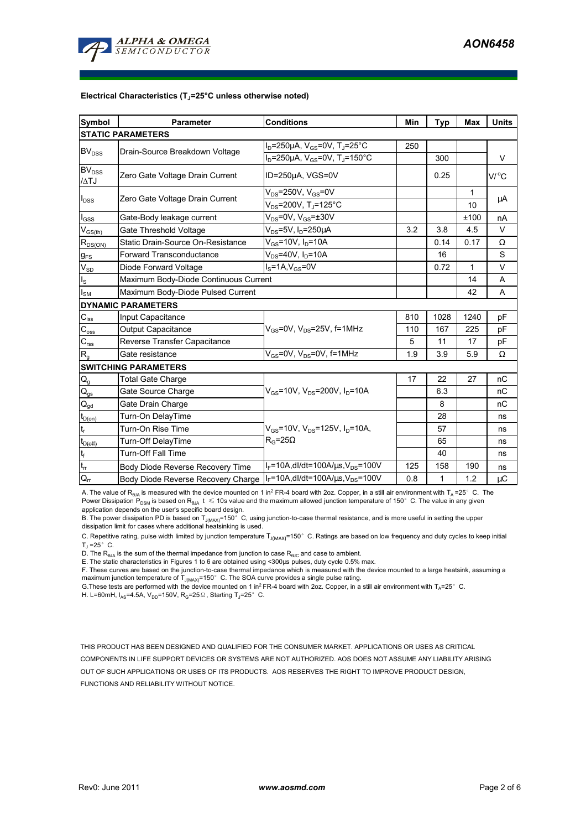

#### Electrical Characteristics  $(T_J=25^{\circ}C$  unless otherwise noted)

| Symbol                                 | <b>Parameter</b>                      | <b>Conditions</b>                                                | Min | <b>Typ</b> | Max  | <b>Units</b> |  |  |  |  |
|----------------------------------------|---------------------------------------|------------------------------------------------------------------|-----|------------|------|--------------|--|--|--|--|
| <b>STATIC PARAMETERS</b>               |                                       |                                                                  |     |            |      |              |  |  |  |  |
| <b>BV<sub>DSS</sub></b>                | Drain-Source Breakdown Voltage        | $I_D$ =250µA, $V_{GS}$ =0V, T <sub>J</sub> =25°C                 | 250 |            |      |              |  |  |  |  |
|                                        |                                       | $I_D = 250 \mu A$ , $V_{GS} = 0V$ , T <sub>J</sub> =150°C        |     | 300        |      | V            |  |  |  |  |
| BV <sub>DSS</sub>                      | Zero Gate Voltage Drain Current       | ID=250µA, VGS=0V                                                 |     | 0.25       |      | V/°C         |  |  |  |  |
| /ATJ                                   |                                       |                                                                  |     |            |      |              |  |  |  |  |
| $I_{DSS}$                              | Zero Gate Voltage Drain Current       | $V_{DS}$ =250V, V <sub>GS</sub> =0V                              |     |            | 1    | μA           |  |  |  |  |
|                                        |                                       | $V_{DS}$ =200V, T <sub>J</sub> =125°C                            |     |            | 10   |              |  |  |  |  |
| $I_{\rm GSS}$                          | Gate-Body leakage current             | $V_{DS}$ =0V, $V_{GS}$ = $\pm$ 30V                               |     |            | ±100 | nA           |  |  |  |  |
| $V_{GS(th)}$                           | Gate Threshold Voltage                | $V_{DS}$ =5V, I <sub>D</sub> =250µA                              | 3.2 | 3.8        | 4.5  | V            |  |  |  |  |
| $R_{DS(ON)}$                           | Static Drain-Source On-Resistance     | $V_{GS}$ =10V, $I_D$ =10A                                        |     | 0.14       | 0.17 | Ω            |  |  |  |  |
| $g_{FS}$                               | <b>Forward Transconductance</b>       | $V_{DS}$ =40V, $I_D$ =10A                                        |     | 16         |      | S            |  |  |  |  |
| $V_{SD}$                               | Diode Forward Voltage                 | $IS=1A, VGS=0V$                                                  |     | 0.72       | 1    | $\vee$       |  |  |  |  |
| $I_{\rm S}$                            | Maximum Body-Diode Continuous Current |                                                                  |     |            | 14   | A            |  |  |  |  |
| $I_{SM}$                               | Maximum Body-Diode Pulsed Current     |                                                                  |     |            | 42   | A            |  |  |  |  |
|                                        | <b>DYNAMIC PARAMETERS</b>             |                                                                  |     |            |      |              |  |  |  |  |
| $C_{iss}$                              | Input Capacitance                     |                                                                  | 810 | 1028       | 1240 | pF           |  |  |  |  |
| $\mathrm{C_{oss}}$                     | Output Capacitance                    | $V_{GS}$ =0V, $V_{DS}$ =25V, f=1MHz                              | 110 | 167        | 225  | рF           |  |  |  |  |
| $C_{\mathsf{rss}}$                     | Reverse Transfer Capacitance          |                                                                  | 5   | 11         | 17   | pF           |  |  |  |  |
| R <sub>g</sub>                         | Gate resistance                       | $V_{GS}$ =0V, $V_{DS}$ =0V, f=1MHz                               | 1.9 | 3.9        | 5.9  | Ω            |  |  |  |  |
| <b>SWITCHING PARAMETERS</b>            |                                       |                                                                  |     |            |      |              |  |  |  |  |
| $Q_g$                                  | <b>Total Gate Charge</b>              |                                                                  | 17  | 22         | 27   | nC           |  |  |  |  |
| $Q_{gs}$                               | Gate Source Charge                    | $V_{\text{GS}}$ =10V, $V_{\text{DS}}$ =200V, $I_{\text{D}}$ =10A |     | 6.3        |      | nC           |  |  |  |  |
| $\mathsf{Q}_{\underline{\mathsf{gd}}}$ | Gate Drain Charge                     |                                                                  |     | 8          |      | nC           |  |  |  |  |
| $t_{D(0n)}$                            | Turn-On DelayTime                     |                                                                  |     | 28         |      | ns           |  |  |  |  |
| t <sub>r</sub>                         | Turn-On Rise Time                     | $V_{GS}$ =10V, $V_{DS}$ =125V, $I_D$ =10A,                       |     | 57         |      | ns           |  |  |  |  |
| $t_{D(off)}$                           | Turn-Off DelayTime                    | $R_G = 25\Omega$                                                 |     | 65         |      | ns           |  |  |  |  |
| $\mathsf{t}_{\mathsf{f}}$              | <b>Turn-Off Fall Time</b>             |                                                                  |     | 40         |      | ns           |  |  |  |  |
| $t_{rr}$                               | Body Diode Reverse Recovery Time      | $I_F = 10A$ , dl/dt=100A/ $\mu$ s, V <sub>DS</sub> =100V         | 125 | 158        | 190  | ns           |  |  |  |  |
| $Q_{rr}$                               | Body Diode Reverse Recovery Charge    | $I_F = 10A$ , dl/dt=100A/ $\mu$ s, V <sub>DS</sub> =100V         | 0.8 | 1          | 1.2  | $\mu C$      |  |  |  |  |

A. The value of R<sub>ala</sub> is measured with the device mounted on 1 in<sup>2</sup> FR-4 board with 2oz. Copper, in a still air environment with T<sub>a</sub>=25°C. The Power Dissipation  $P_{DSM}$  is based on R<sub>BJA</sub>  $t \le 10$ s value and the maximum allowed junction temperature of 150°C. The value in any given application depends on the user's specific board design.

B. The power dissipation PD is based on  $T_{J(MAX)}$ =150 $^{\circ}$  C, using junction-to-case thermal resistance, and is more useful in setting the upper dissipation limit for cases where additional heatsinking is used.

C. Repetitive rating, pulse width limited by junction temperature  $T_{(IMAY)}$ =150°C. Ratings are based on low frequency and duty cycles to keep initial  $T_J = 25^\circ$  C.

D. The  $R_{AJA}$  is the sum of the thermal impedance from junction to case  $R_{AJC}$  and case to ambient.

E. The static characteristics in Figures 1 to 6 are obtained using <300µs pulses, duty cycle 0.5% max.

F. These curves are based on the junction-to-case thermal impedance which is measured with the device mounted to a large heatsink, assuming a maximum junction temperature of  $T_{J(MAX)}$ =150°C. The SOA curve provides a single pulse rating.

G. These tests are performed with the device mounted on 1 in<sup>2</sup> FR-4 board with 2oz. Copper, in a still air environment with T<sub>A</sub>=25°C.

H. L=60mH,  $I_{AS}$ =4.5A, V<sub>DD</sub>=150V, R<sub>G</sub>=25 Ω, Starting T<sub>J</sub>=25°C.

THIS PRODUCT HAS BEEN DESIGNED AND QUALIFIED FOR THE CONSUMER MARKET. APPLICATIONS OR USES AS CRITICAL COMPONENTS IN LIFE SUPPORT DEVICES OR SYSTEMS ARE NOT AUTHORIZED. AOS DOES NOT ASSUME ANY LIABILITY ARISING OUT OF SUCH APPLICATIONS OR USES OF ITS PRODUCTS. AOS RESERVES THE RIGHT TO IMPROVE PRODUCT DESIGN, FUNCTIONS AND RELIABILITY WITHOUT NOTICE.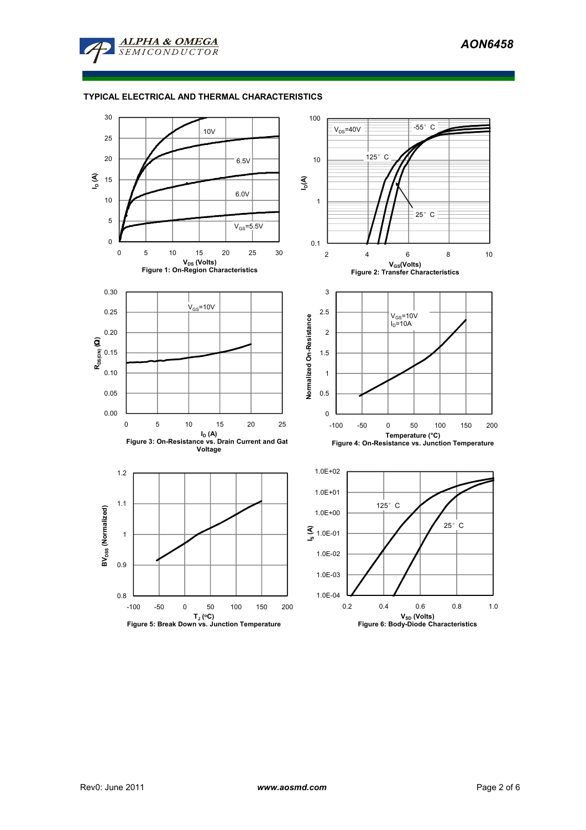

# TYPICAL ELECTRICAL AND THERMAL CHARACTERISTICS

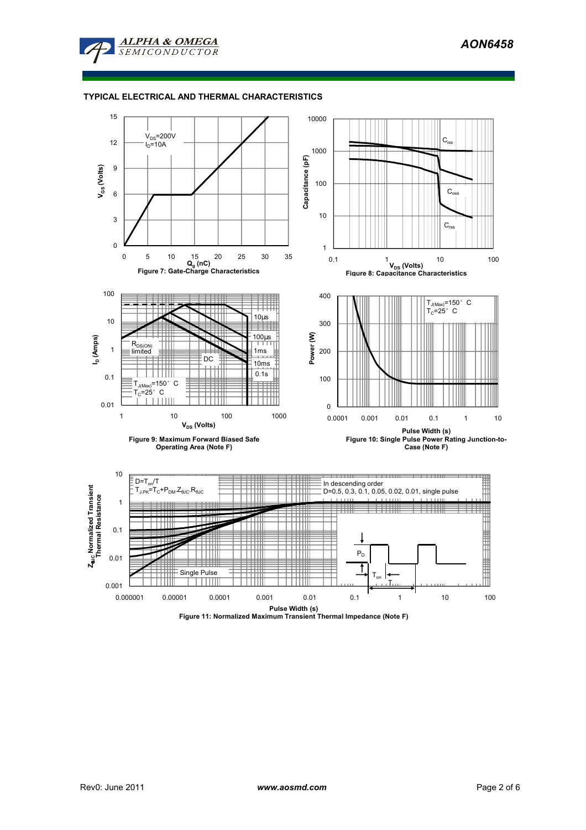

#### TYPICAL ELECTRICAL AND THERMAL CHARACTERISTICS

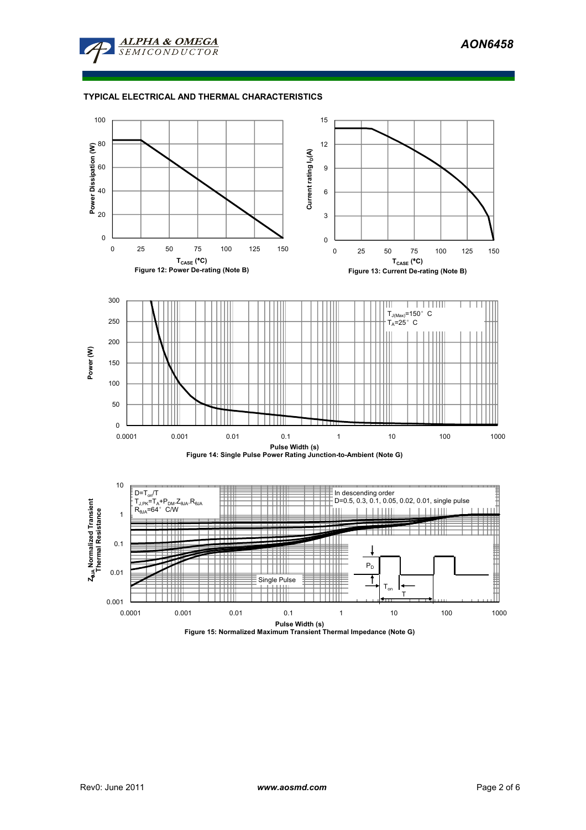

## TYPICAL ELECTRICAL AND THERMAL CHARACTERISTICS